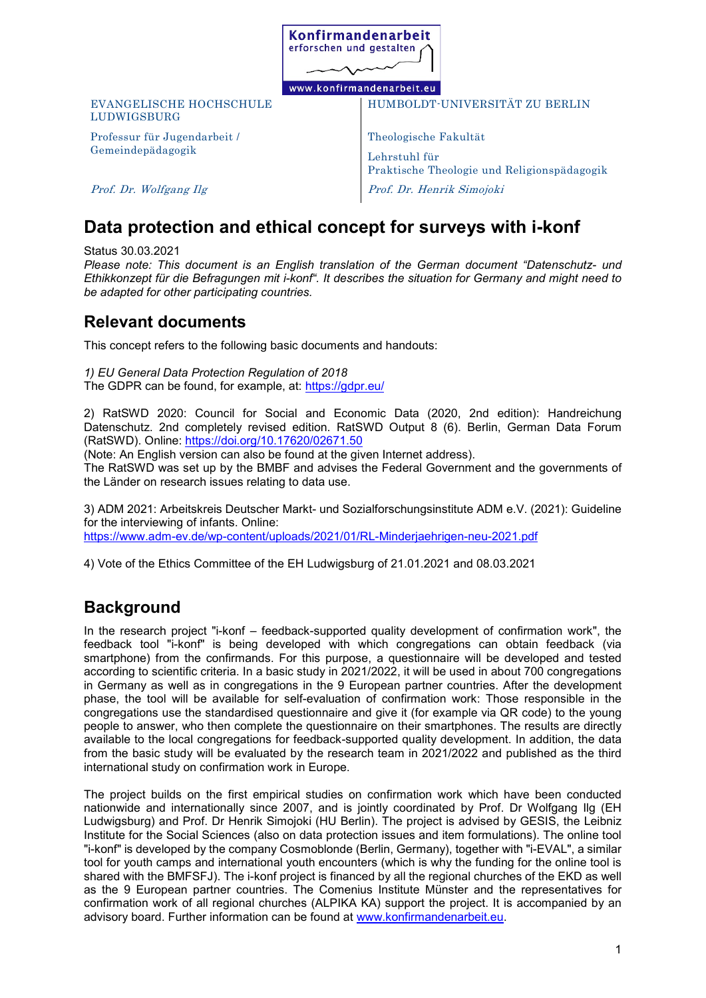

### www.konfirmandenarbeit.eu

#### EVANGELISCHE HOCHSCHULE LUDWIGSBURG

Professur für Jugendarbeit / Gemeindepädagogik

HUMBOLDT-UNIVERSITÄT ZU BERLIN

Theologische Fakultät Lehrstuhl für Praktische Theologie und Religionspädagogik Prof. Dr. Henrik Simojoki

Prof. Dr. Wolfgang Ilg

# **Data protection and ethical concept for surveys with i-konf**

Status 30.03.2021

*Please note: This document is an English translation of the German document "Datenschutz- und Ethikkonzept für die Befragungen mit i-konf". It describes the situation for Germany and might need to be adapted for other participating countries.*

## **Relevant documents**

This concept refers to the following basic documents and handouts:

*1) EU General Data Protection Regulation of 2018* The GDPR can be found, for example, at:<https://gdpr.eu/>

2) RatSWD 2020: Council for Social and Economic Data (2020, 2nd edition): Handreichung Datenschutz. 2nd completely revised edition. RatSWD Output 8 (6). Berlin, German Data Forum (RatSWD). Online:<https://doi.org/10.17620/02671.50>

(Note: An English version can also be found at the given Internet address).

The RatSWD was set up by the BMBF and advises the Federal Government and the governments of the Länder on research issues relating to data use.

3) ADM 2021: Arbeitskreis Deutscher Markt- und Sozialforschungsinstitute ADM e.V. (2021): Guideline for the interviewing of infants. Online: <https://www.adm-ev.de/wp-content/uploads/2021/01/RL-Minderjaehrigen-neu-2021.pdf>

4) Vote of the Ethics Committee of the EH Ludwigsburg of 21.01.2021 and 08.03.2021

## **Background**

In the research project "i-konf – feedback-supported quality development of confirmation work", the feedback tool "i-konf" is being developed with which congregations can obtain feedback (via smartphone) from the confirmands. For this purpose, a questionnaire will be developed and tested according to scientific criteria. In a basic study in 2021/2022, it will be used in about 700 congregations in Germany as well as in congregations in the 9 European partner countries. After the development phase, the tool will be available for self-evaluation of confirmation work: Those responsible in the congregations use the standardised questionnaire and give it (for example via QR code) to the young people to answer, who then complete the questionnaire on their smartphones. The results are directly available to the local congregations for feedback-supported quality development. In addition, the data from the basic study will be evaluated by the research team in 2021/2022 and published as the third international study on confirmation work in Europe.

The project builds on the first empirical studies on confirmation work which have been conducted nationwide and internationally since 2007, and is jointly coordinated by Prof. Dr Wolfgang Ilg (EH Ludwigsburg) and Prof. Dr Henrik Simojoki (HU Berlin). The project is advised by GESIS, the Leibniz Institute for the Social Sciences (also on data protection issues and item formulations). The online tool "i-konf" is developed by the company Cosmoblonde (Berlin, Germany), together with "i-EVAL", a similar tool for youth camps and international youth encounters (which is why the funding for the online tool is shared with the BMFSFJ). The i-konf project is financed by all the regional churches of the EKD as well as the 9 European partner countries. The Comenius Institute Münster and the representatives for confirmation work of all regional churches (ALPIKA KA) support the project. It is accompanied by an advisory board. Further information can be found at [www.konfirmandenarbeit.eu.](http://www.konfirmandenarbeit.eu/)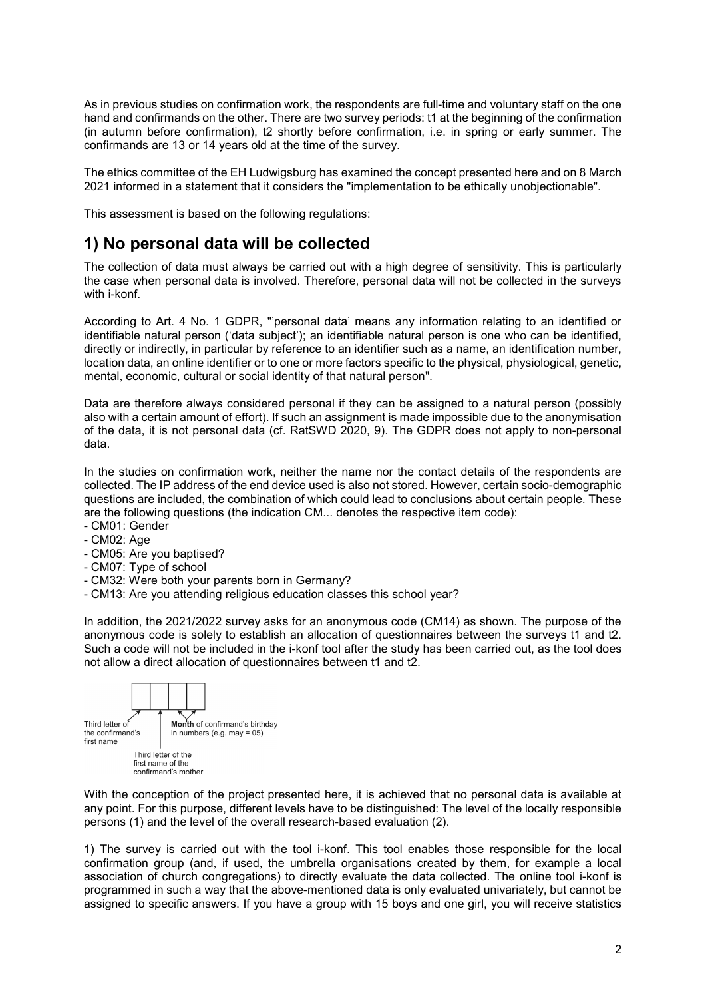As in previous studies on confirmation work, the respondents are full-time and voluntary staff on the one hand and confirmands on the other. There are two survey periods: t1 at the beginning of the confirmation (in autumn before confirmation), t2 shortly before confirmation, i.e. in spring or early summer. The confirmands are 13 or 14 years old at the time of the survey.

The ethics committee of the EH Ludwigsburg has examined the concept presented here and on 8 March 2021 informed in a statement that it considers the "implementation to be ethically unobjectionable".

This assessment is based on the following regulations:

## **1) No personal data will be collected**

The collection of data must always be carried out with a high degree of sensitivity. This is particularly the case when personal data is involved. Therefore, personal data will not be collected in the surveys with i-konf.

According to Art. 4 No. 1 GDPR, "'personal data' means any information relating to an identified or identifiable natural person ('data subject'); an identifiable natural person is one who can be identified, directly or indirectly, in particular by reference to an identifier such as a name, an identification number, location data, an online identifier or to one or more factors specific to the physical, physiological, genetic, mental, economic, cultural or social identity of that natural person".

Data are therefore always considered personal if they can be assigned to a natural person (possibly also with a certain amount of effort). If such an assignment is made impossible due to the anonymisation of the data, it is not personal data (cf. RatSWD 2020, 9). The GDPR does not apply to non-personal data.

In the studies on confirmation work, neither the name nor the contact details of the respondents are collected. The IP address of the end device used is also not stored. However, certain socio-demographic questions are included, the combination of which could lead to conclusions about certain people. These are the following questions (the indication CM... denotes the respective item code):

- CM01: Gender
- CM02: Age
- CM05: Are you baptised?
- CM07: Type of school
- CM32: Were both your parents born in Germany?
- CM13: Are you attending religious education classes this school year?

In addition, the 2021/2022 survey asks for an anonymous code (CM14) as shown. The purpose of the anonymous code is solely to establish an allocation of questionnaires between the surveys t1 and t2. Such a code will not be included in the i-konf tool after the study has been carried out, as the tool does not allow a direct allocation of questionnaires between t1 and t2.



With the conception of the project presented here, it is achieved that no personal data is available at any point. For this purpose, different levels have to be distinguished: The level of the locally responsible persons (1) and the level of the overall research-based evaluation (2).

1) The survey is carried out with the tool i-konf. This tool enables those responsible for the local confirmation group (and, if used, the umbrella organisations created by them, for example a local association of church congregations) to directly evaluate the data collected. The online tool i-konf is programmed in such a way that the above-mentioned data is only evaluated univariately, but cannot be assigned to specific answers. If you have a group with 15 boys and one girl, you will receive statistics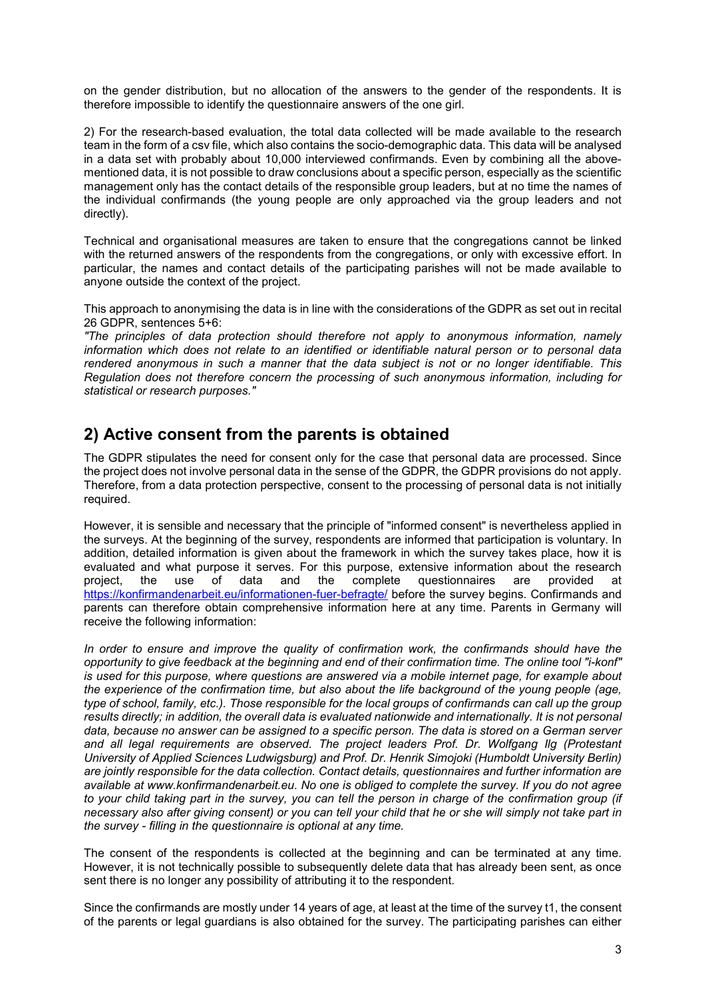on the gender distribution, but no allocation of the answers to the gender of the respondents. It is therefore impossible to identify the questionnaire answers of the one girl.

2) For the research-based evaluation, the total data collected will be made available to the research team in the form of a csv file, which also contains the socio-demographic data. This data will be analysed in a data set with probably about 10,000 interviewed confirmands. Even by combining all the abovementioned data, it is not possible to draw conclusions about a specific person, especially as the scientific management only has the contact details of the responsible group leaders, but at no time the names of the individual confirmands (the young people are only approached via the group leaders and not directly).

Technical and organisational measures are taken to ensure that the congregations cannot be linked with the returned answers of the respondents from the congregations, or only with excessive effort. In particular, the names and contact details of the participating parishes will not be made available to anyone outside the context of the project.

This approach to anonymising the data is in line with the considerations of the GDPR as set out in recital 26 GDPR, sentences 5+6:

*"The principles of data protection should therefore not apply to anonymous information, namely information which does not relate to an identified or identifiable natural person or to personal data rendered anonymous in such a manner that the data subject is not or no longer identifiable. This Regulation does not therefore concern the processing of such anonymous information, including for statistical or research purposes."*

### **2) Active consent from the parents is obtained**

The GDPR stipulates the need for consent only for the case that personal data are processed. Since the project does not involve personal data in the sense of the GDPR, the GDPR provisions do not apply. Therefore, from a data protection perspective, consent to the processing of personal data is not initially required.

However, it is sensible and necessary that the principle of "informed consent" is nevertheless applied in the surveys. At the beginning of the survey, respondents are informed that participation is voluntary. In addition, detailed information is given about the framework in which the survey takes place, how it is evaluated and what purpose it serves. For this purpose, extensive information about the research<br>project, the use of data and the complete questionnaires are provided at project, the use of data and the complete questionnaires are provided at <https://konfirmandenarbeit.eu/informationen-fuer-befragte/> before the survey begins. Confirmands and parents can therefore obtain comprehensive information here at any time. Parents in Germany will receive the following information:

In order to ensure and improve the quality of confirmation work, the confirmands should have the *opportunity to give feedback at the beginning and end of their confirmation time. The online tool "i-konf" is used for this purpose, where questions are answered via a mobile internet page, for example about the experience of the confirmation time, but also about the life background of the young people (age, type of school, family, etc.). Those responsible for the local groups of confirmands can call up the group*  results directly; in addition, the overall data is evaluated nationwide and internationally. It is not personal *data, because no answer can be assigned to a specific person. The data is stored on a German server and all legal requirements are observed. The project leaders Prof. Dr. Wolfgang Ilg (Protestant University of Applied Sciences Ludwigsburg) and Prof. Dr. Henrik Simojoki (Humboldt University Berlin) are jointly responsible for the data collection. Contact details, questionnaires and further information are available at www.konfirmandenarbeit.eu. No one is obliged to complete the survey. If you do not agree to your child taking part in the survey, you can tell the person in charge of the confirmation group (if necessary also after giving consent) or you can tell your child that he or she will simply not take part in the survey - filling in the questionnaire is optional at any time.*

The consent of the respondents is collected at the beginning and can be terminated at any time. However, it is not technically possible to subsequently delete data that has already been sent, as once sent there is no longer any possibility of attributing it to the respondent.

Since the confirmands are mostly under 14 years of age, at least at the time of the survey t1, the consent of the parents or legal guardians is also obtained for the survey. The participating parishes can either